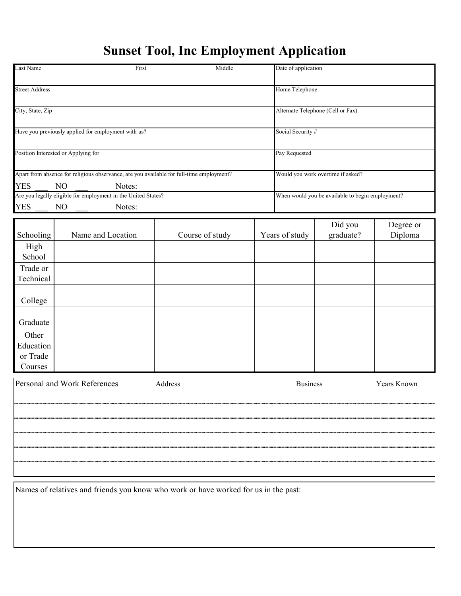## **Sunset Tool, Inc Employment Application**

| Last Name                                                                                                              | Middle<br>First                                                               |                 |  | Date of application               |                                                  |                      |
|------------------------------------------------------------------------------------------------------------------------|-------------------------------------------------------------------------------|-----------------|--|-----------------------------------|--------------------------------------------------|----------------------|
| <b>Street Address</b>                                                                                                  |                                                                               |                 |  | Home Telephone                    |                                                  |                      |
| City, State, Zip                                                                                                       |                                                                               |                 |  | Alternate Telephone (Cell or Fax) |                                                  |                      |
| Have you previously applied for employment with us?                                                                    |                                                                               |                 |  | Social Security #                 |                                                  |                      |
| Position Interested or Applying for                                                                                    |                                                                               |                 |  | Pay Requested                     |                                                  |                      |
| Apart from absence for religious observance, are you available for full-time employment?<br><b>YES</b><br>NO<br>Notes: |                                                                               |                 |  | Would you work overtime if asked? |                                                  |                      |
| <b>YES</b>                                                                                                             | Are you legally eligible for employment in the United States?<br>NO<br>Notes: |                 |  |                                   | When would you be available to begin employment? |                      |
| Schooling<br>High<br>School                                                                                            | Name and Location                                                             | Course of study |  | Years of study                    | Did you<br>graduate?                             | Degree or<br>Diploma |
| Trade or<br>Technical                                                                                                  |                                                                               |                 |  |                                   |                                                  |                      |
| College                                                                                                                |                                                                               |                 |  |                                   |                                                  |                      |
| Graduate                                                                                                               |                                                                               |                 |  |                                   |                                                  |                      |
| Other<br>Education<br>or Trade<br>Courses                                                                              |                                                                               |                 |  |                                   |                                                  |                      |
| Personal and Work References<br>Years Known<br>Address<br><b>Business</b>                                              |                                                                               |                 |  |                                   |                                                  |                      |
|                                                                                                                        |                                                                               |                 |  |                                   |                                                  |                      |
|                                                                                                                        |                                                                               |                 |  |                                   |                                                  |                      |
|                                                                                                                        |                                                                               |                 |  |                                   |                                                  |                      |
|                                                                                                                        |                                                                               |                 |  |                                   |                                                  |                      |

Names of relatives and friends you know who work or have worked for us in the past: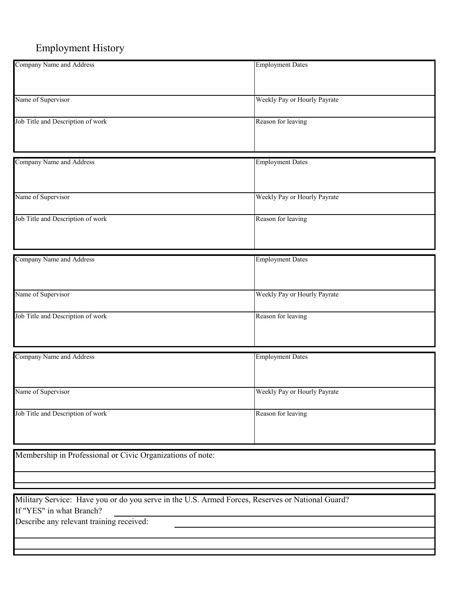## Employment History

| Company Name and Address                                                                         | <b>Employment Dates</b>      |  |  |  |  |  |
|--------------------------------------------------------------------------------------------------|------------------------------|--|--|--|--|--|
|                                                                                                  |                              |  |  |  |  |  |
|                                                                                                  |                              |  |  |  |  |  |
| Name of Supervisor                                                                               | Weekly Pay or Hourly Payrate |  |  |  |  |  |
|                                                                                                  |                              |  |  |  |  |  |
| Job Title and Description of work                                                                | Reason for leaving           |  |  |  |  |  |
|                                                                                                  |                              |  |  |  |  |  |
|                                                                                                  |                              |  |  |  |  |  |
|                                                                                                  |                              |  |  |  |  |  |
| Company Name and Address                                                                         | <b>Employment Dates</b>      |  |  |  |  |  |
|                                                                                                  |                              |  |  |  |  |  |
|                                                                                                  |                              |  |  |  |  |  |
| Name of Supervisor                                                                               | Weekly Pay or Hourly Payrate |  |  |  |  |  |
|                                                                                                  |                              |  |  |  |  |  |
| Job Title and Description of work                                                                | Reason for leaving           |  |  |  |  |  |
|                                                                                                  |                              |  |  |  |  |  |
|                                                                                                  |                              |  |  |  |  |  |
| Company Name and Address                                                                         | <b>Employment Dates</b>      |  |  |  |  |  |
|                                                                                                  |                              |  |  |  |  |  |
|                                                                                                  |                              |  |  |  |  |  |
| Name of Supervisor                                                                               | Weekly Pay or Hourly Payrate |  |  |  |  |  |
|                                                                                                  |                              |  |  |  |  |  |
| Job Title and Description of work                                                                | Reason for leaving           |  |  |  |  |  |
|                                                                                                  |                              |  |  |  |  |  |
|                                                                                                  |                              |  |  |  |  |  |
|                                                                                                  |                              |  |  |  |  |  |
| Company Name and Address                                                                         | <b>Employment Dates</b>      |  |  |  |  |  |
|                                                                                                  |                              |  |  |  |  |  |
|                                                                                                  |                              |  |  |  |  |  |
| Name of Supervisor                                                                               | Weekly Pay or Hourly Payrate |  |  |  |  |  |
|                                                                                                  |                              |  |  |  |  |  |
| Job Title and Description of work                                                                | Reason for leaving           |  |  |  |  |  |
|                                                                                                  |                              |  |  |  |  |  |
|                                                                                                  |                              |  |  |  |  |  |
| Membership in Professional or Civic Organizations of note:                                       |                              |  |  |  |  |  |
|                                                                                                  |                              |  |  |  |  |  |
|                                                                                                  |                              |  |  |  |  |  |
|                                                                                                  |                              |  |  |  |  |  |
| Military Service: Have you or do you serve in the U.S. Armed Forces, Reserves or National Guard? |                              |  |  |  |  |  |
| If "YES" in what Branch?                                                                         |                              |  |  |  |  |  |
| Describe any relevant training received:                                                         |                              |  |  |  |  |  |
|                                                                                                  |                              |  |  |  |  |  |
|                                                                                                  |                              |  |  |  |  |  |
|                                                                                                  |                              |  |  |  |  |  |